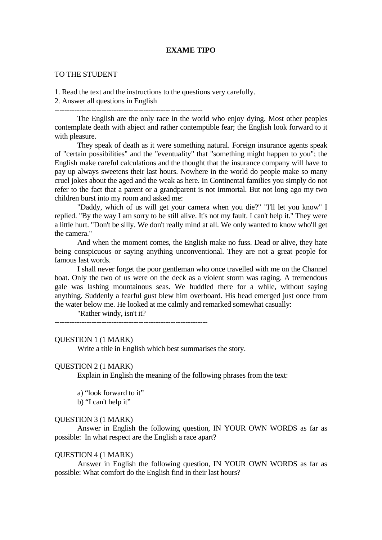## **EXAME TIPO**

### TO THE STUDENT

1. Read the text and the instructions to the questions very carefully. 2. Answer all questions in English

------------------------------------------------------------

 The English are the only race in the world who enjoy dying. Most other peoples contemplate death with abject and rather contemptible fear; the English look forward to it with pleasure.

 They speak of death as it were something natural. Foreign insurance agents speak of "certain possibilities" and the "eventuality" that "something might happen to you"; the English make careful calculations and the thought that the insurance company will have to pay up always sweetens their last hours. Nowhere in the world do people make so many cruel jokes about the aged and the weak as here. In Continental families you simply do not refer to the fact that a parent or a grandparent is not immortal. But not long ago my two children burst into my room and asked me:

 "Daddy, which of us will get your camera when you die?" "I'll let you know" I replied. "By the way I am sorry to be still alive. It's not my fault. I can't help it." They were a little hurt. "Don't be silly. We don't really mind at all. We only wanted to know who'll get the camera."

 And when the moment comes, the English make no fuss. Dead or alive, they hate being conspicuous or saying anything unconventional. They are not a great people for famous last words.

 I shall never forget the poor gentleman who once travelled with me on the Channel boat. Only the two of us were on the deck as a violent storm was raging. A tremendous gale was lashing mountainous seas. We huddled there for a while, without saying anything. Suddenly a fearful gust blew him overboard. His head emerged just once from the water below me. He looked at me calmly and remarked somewhat casually:

"Rather windy, isn't it?

--------------------------------------------------------------

#### QUESTION 1 (1 MARK)

Write a title in English which best summarises the story.

#### QUESTION 2 (1 MARK)

Explain in English the meaning of the following phrases from the text:

- a) "look forward to it"
- b) "I can't help it"

#### QUESTION 3 (1 MARK)

 Answer in English the following question, IN YOUR OWN WORDS as far as possible: In what respect are the English a race apart?

#### QUESTION 4 (1 MARK)

Answer in English the following question, IN YOUR OWN WORDS as far as possible: What comfort do the English find in their last hours?